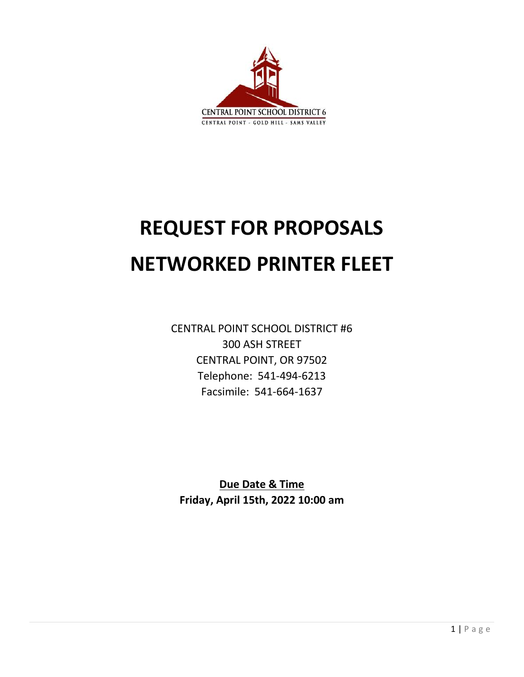

# **REQUEST FOR PROPOSALS NETWORKED PRINTER FLEET**

CENTRAL POINT SCHOOL DISTRICT #6 300 ASH STREET CENTRAL POINT, OR 97502 Telephone: 541-494-6213 Facsimile: 541-664-1637

**Due Date & Time Friday, April 15th, 2022 10:00 am**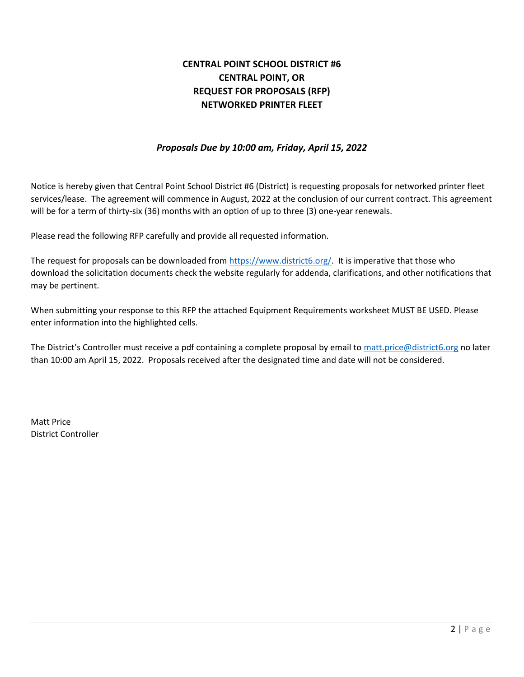# **CENTRAL POINT SCHOOL DISTRICT #6 CENTRAL POINT, OR REQUEST FOR PROPOSALS (RFP) NETWORKED PRINTER FLEET**

#### *Proposals Due by 10:00 am, Friday, April 15, 2022*

Notice is hereby given that Central Point School District #6 (District) is requesting proposals for networked printer fleet services/lease. The agreement will commence in August, 2022 at the conclusion of our current contract. This agreement will be for a term of thirty-six (36) months with an option of up to three (3) one-year renewals.

Please read the following RFP carefully and provide all requested information.

The request for proposals can be downloaded from [https://www.district6.org/.](https://www.district6.org/) It is imperative that those who download the solicitation documents check the website regularly for addenda, clarifications, and other notifications that may be pertinent.

When submitting your response to this RFP the attached Equipment Requirements worksheet MUST BE USED. Please enter information into the highlighted cells.

The District's Controller must receive a pdf containing a complete proposal by email to [matt.price@district6.org](mailto:matt.price@district6.org) no later than 10:00 am April 15, 2022. Proposals received after the designated time and date will not be considered.

Matt Price District Controller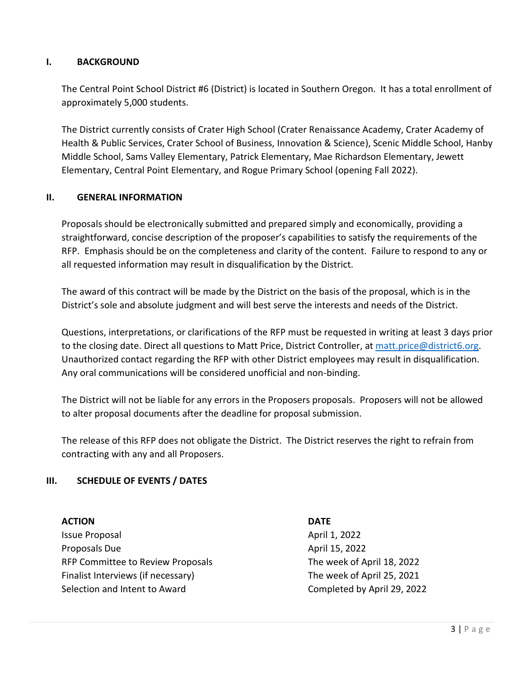#### **I. BACKGROUND**

The Central Point School District #6 (District) is located in Southern Oregon. It has a total enrollment of approximately 5,000 students.

The District currently consists of Crater High School (Crater Renaissance Academy, Crater Academy of Health & Public Services, Crater School of Business, Innovation & Science), Scenic Middle School, Hanby Middle School, Sams Valley Elementary, Patrick Elementary, Mae Richardson Elementary, Jewett Elementary, Central Point Elementary, and Rogue Primary School (opening Fall 2022).

#### **II. GENERAL INFORMATION**

Proposals should be electronically submitted and prepared simply and economically, providing a straightforward, concise description of the proposer's capabilities to satisfy the requirements of the RFP. Emphasis should be on the completeness and clarity of the content. Failure to respond to any or all requested information may result in disqualification by the District.

The award of this contract will be made by the District on the basis of the proposal, which is in the District's sole and absolute judgment and will best serve the interests and needs of the District.

Questions, interpretations, or clarifications of the RFP must be requested in writing at least 3 days prior to the closing date. Direct all questions to Matt Price, District Controller, at [matt.price@district6.org.](mailto:matt.price@district6.org) Unauthorized contact regarding the RFP with other District employees may result in disqualification. Any oral communications will be considered unofficial and non-binding.

The District will not be liable for any errors in the Proposers proposals. Proposers will not be allowed to alter proposal documents after the deadline for proposal submission.

The release of this RFP does not obligate the District. The District reserves the right to refrain from contracting with any and all Proposers.

#### **III. SCHEDULE OF EVENTS / DATES**

#### **ACTION DATE**

Issue Proposal **April 1, 2022** Proposals Due **April 15, 2022** RFP Committee to Review Proposals The week of April 18, 2022 Finalist Interviews (if necessary) The week of April 25, 2021 Selection and Intent to Award Completed by April 29, 2022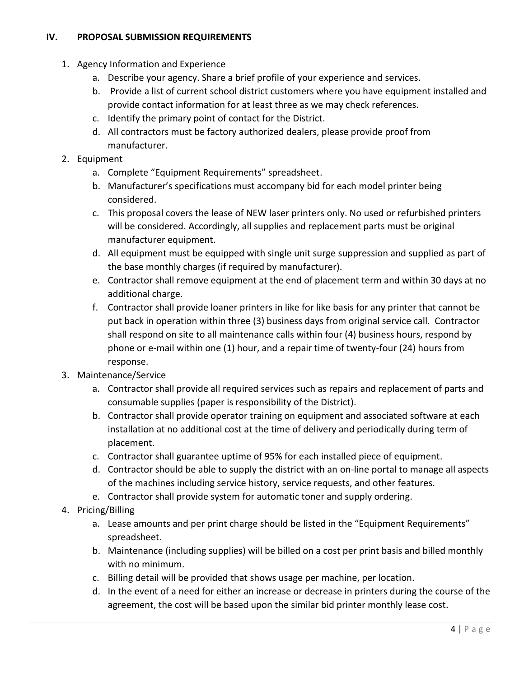# **IV. PROPOSAL SUBMISSION REQUIREMENTS**

- 1. Agency Information and Experience
	- a. Describe your agency. Share a brief profile of your experience and services.
	- b. Provide a list of current school district customers where you have equipment installed and provide contact information for at least three as we may check references.
	- c. Identify the primary point of contact for the District.
	- d. All contractors must be factory authorized dealers, please provide proof from manufacturer.
- 2. Equipment
	- a. Complete "Equipment Requirements" spreadsheet.
	- b. Manufacturer's specifications must accompany bid for each model printer being considered.
	- c. This proposal covers the lease of NEW laser printers only. No used or refurbished printers will be considered. Accordingly, all supplies and replacement parts must be original manufacturer equipment.
	- d. All equipment must be equipped with single unit surge suppression and supplied as part of the base monthly charges (if required by manufacturer).
	- e. Contractor shall remove equipment at the end of placement term and within 30 days at no additional charge.
	- f. Contractor shall provide loaner printers in like for like basis for any printer that cannot be put back in operation within three (3) business days from original service call. Contractor shall respond on site to all maintenance calls within four (4) business hours, respond by phone or e-mail within one (1) hour, and a repair time of twenty-four (24) hours from response.
- 3. Maintenance/Service
	- a. Contractor shall provide all required services such as repairs and replacement of parts and consumable supplies (paper is responsibility of the District).
	- b. Contractor shall provide operator training on equipment and associated software at each installation at no additional cost at the time of delivery and periodically during term of placement.
	- c. Contractor shall guarantee uptime of 95% for each installed piece of equipment.
	- d. Contractor should be able to supply the district with an on-line portal to manage all aspects of the machines including service history, service requests, and other features.
	- e. Contractor shall provide system for automatic toner and supply ordering.
- 4. Pricing/Billing
	- a. Lease amounts and per print charge should be listed in the "Equipment Requirements" spreadsheet.
	- b. Maintenance (including supplies) will be billed on a cost per print basis and billed monthly with no minimum.
	- c. Billing detail will be provided that shows usage per machine, per location.
	- d. In the event of a need for either an increase or decrease in printers during the course of the agreement, the cost will be based upon the similar bid printer monthly lease cost.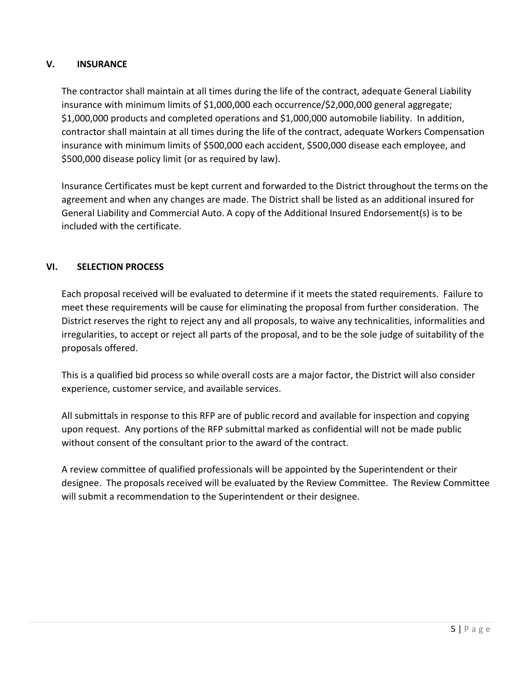## **V. INSURANCE**

The contractor shall maintain at all times during the life of the contract, adequate General Liability insurance with minimum limits of \$1,000,000 each occurrence/\$2,000,000 general aggregate; \$1,000,000 products and completed operations and \$1,000,000 automobile liability. In addition, contractor shall maintain at all times during the life of the contract, adequate Workers Compensation insurance with minimum limits of \$500,000 each accident, \$500,000 disease each employee, and \$500,000 disease policy limit (or as required by law).

Insurance Certificates must be kept current and forwarded to the District throughout the terms on the agreement and when any changes are made. The District shall be listed as an additional insured for General Liability and Commercial Auto. A copy of the Additional Insured Endorsement(s) is to be included with the certificate.

## **VI. SELECTION PROCESS**

Each proposal received will be evaluated to determine if it meets the stated requirements. Failure to meet these requirements will be cause for eliminating the proposal from further consideration. The District reserves the right to reject any and all proposals, to waive any technicalities, informalities and irregularities, to accept or reject all parts of the proposal, and to be the sole judge of suitability of the proposals offered.

This is a qualified bid process so while overall costs are a major factor, the District will also consider experience, customer service, and available services.

All submittals in response to this RFP are of public record and available for inspection and copying upon request. Any portions of the RFP submittal marked as confidential will not be made public without consent of the consultant prior to the award of the contract.

A review committee of qualified professionals will be appointed by the Superintendent or their designee. The proposals received will be evaluated by the Review Committee. The Review Committee will submit a recommendation to the Superintendent or their designee.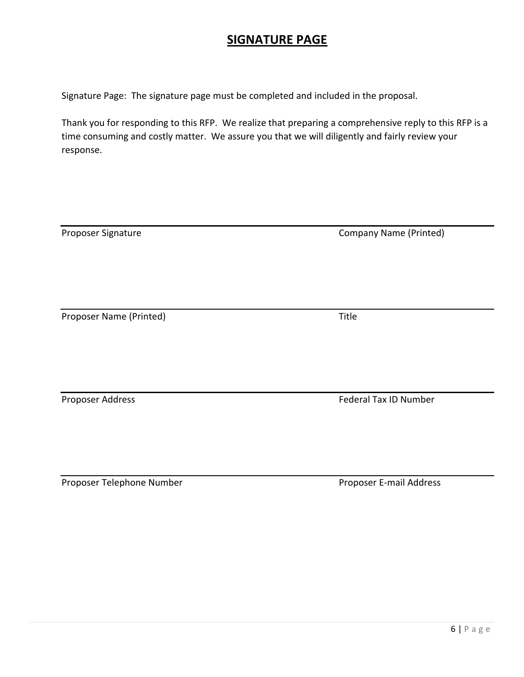# **SIGNATURE PAGE**

Signature Page: The signature page must be completed and included in the proposal.

Thank you for responding to this RFP. We realize that preparing a comprehensive reply to this RFP is a time consuming and costly matter. We assure you that we will diligently and fairly review your response.

| Proposer Signature      | <b>Company Name (Printed)</b> |
|-------------------------|-------------------------------|
|                         |                               |
| Proposer Name (Printed) | Title                         |
| Proposer Address        | Federal Tax ID Number         |

Proposer Telephone Number **Proposer E-mail Address**